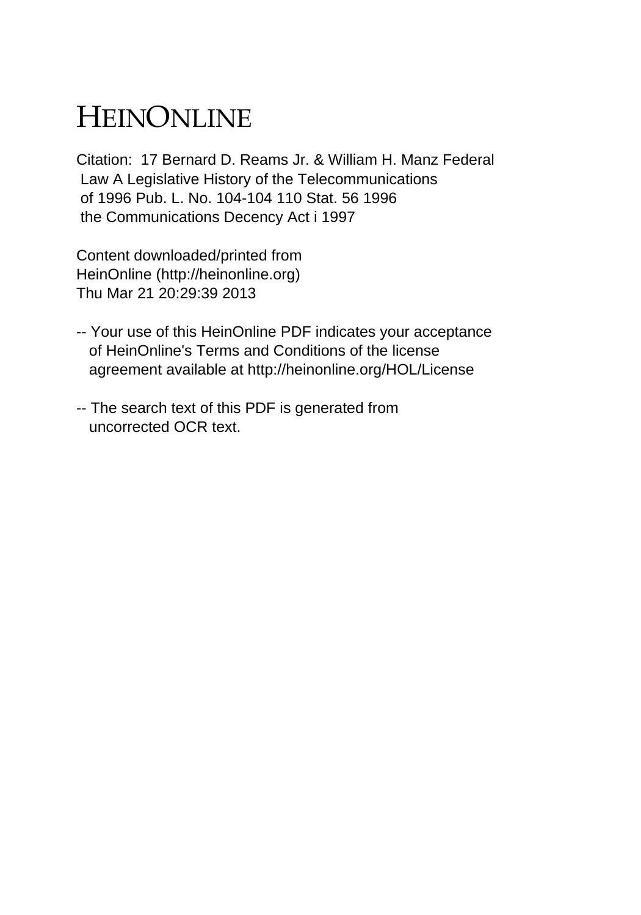## HEINONLINE

Citation: 17 Bernard D. Reams Jr. & William H. Manz Federal Law A Legislative History of the Telecommunications of 1996 Pub. L. No. 104-104 110 Stat. 56 1996 the Communications Decency Act i 1997

Content downloaded/printed from HeinOnline (http://heinonline.org) Thu Mar 21 20:29:39 2013

- -- Your use of this HeinOnline PDF indicates your acceptance of HeinOnline's Terms and Conditions of the license agreement available at http://heinonline.org/HOL/License
- -- The search text of this PDF is generated from uncorrected OCR text.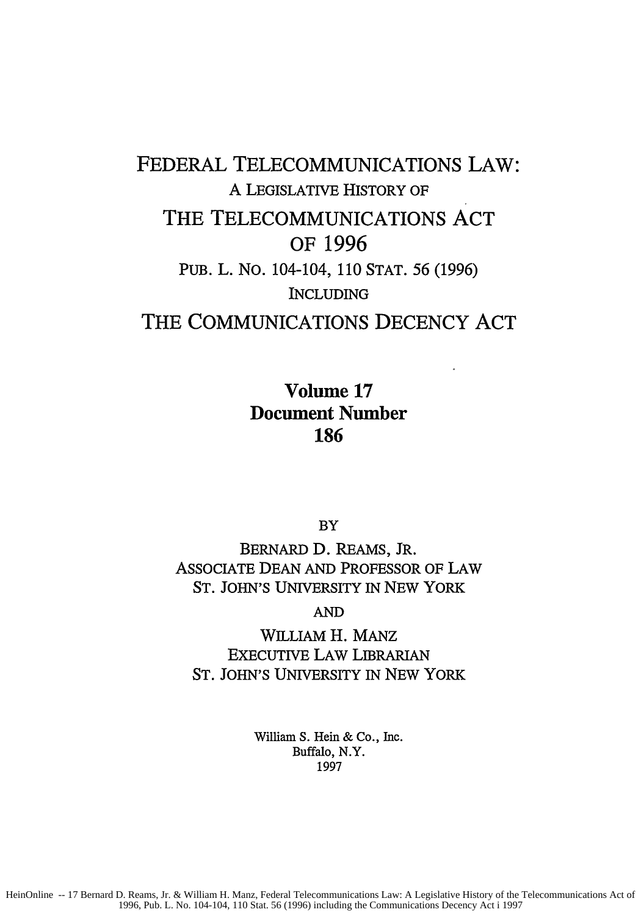## FEDERAL TELECOMMUNICATIONS LAW: A LEGISLATIVE HISTORY OF THE TELECOMMUNICATIONS **ACT** OF **1996 PUB.** L. **NO.** 104-104, **110 STAT. 56 (1996) INCLUDING** THE COMMUNICATIONS **DECENCY ACT**

Volume **17** Document Number **186**

BY

BERNARD **D.** REAMS, JR. ASSOCIATE DEAN AND PROFESSOR OF LAW ST. JOHN'S UNIVERSITY IN NEW YORK

**AND**

**WILLIAM** H. MANZ EXECUTIVE LAW LIBRARIAN ST. JOHN'S UNIVERSITY IN NEW YORK

> William **S.** Hein & Co., Inc. Buffalo, N.Y. **1997**